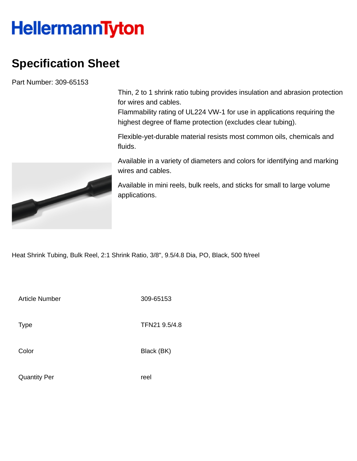## **HellermannTyton**

## **Specification Sheet**

Part Number: 309-65153

Thin, 2 to 1 shrink ratio tubing provides insulation and abrasion protection for wires and cables.

Flammability rating of UL224 VW-1 for use in applications requiring the highest degree of flame protection (excludes clear tubing).

Flexible-yet-durable material resists most common oils, chemicals and fluids.

Available in a variety of diameters and colors for identifying and marking wires and cables.

Available in mini reels, bulk reels, and sticks for small to large volume applications.

Heat Shrink Tubing, Bulk Reel, 2:1 Shrink Ratio, 3/8", 9.5/4.8 Dia, PO, Black, 500 ft/reel

Article Number 309-65153

Type **TFN21 9.5/4.8** 

Color Black (BK)

Quantity Per **reel**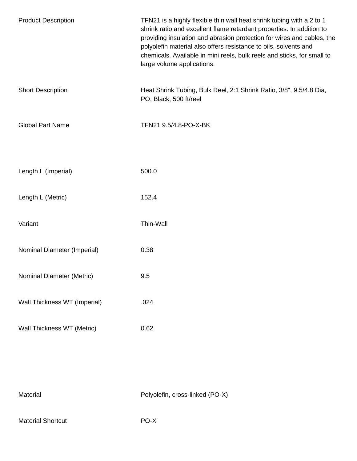| <b>Product Description</b>   | TFN21 is a highly flexible thin wall heat shrink tubing with a 2 to 1<br>shrink ratio and excellent flame retardant properties. In addition to<br>providing insulation and abrasion protection for wires and cables, the<br>polyolefin material also offers resistance to oils, solvents and<br>chemicals. Available in mini reels, bulk reels and sticks, for small to<br>large volume applications. |
|------------------------------|-------------------------------------------------------------------------------------------------------------------------------------------------------------------------------------------------------------------------------------------------------------------------------------------------------------------------------------------------------------------------------------------------------|
| <b>Short Description</b>     | Heat Shrink Tubing, Bulk Reel, 2:1 Shrink Ratio, 3/8", 9.5/4.8 Dia,<br>PO, Black, 500 ft/reel                                                                                                                                                                                                                                                                                                         |
| <b>Global Part Name</b>      | TFN21 9.5/4.8-PO-X-BK                                                                                                                                                                                                                                                                                                                                                                                 |
| Length L (Imperial)          | 500.0                                                                                                                                                                                                                                                                                                                                                                                                 |
| Length L (Metric)            | 152.4                                                                                                                                                                                                                                                                                                                                                                                                 |
| Variant                      | Thin-Wall                                                                                                                                                                                                                                                                                                                                                                                             |
| Nominal Diameter (Imperial)  | 0.38                                                                                                                                                                                                                                                                                                                                                                                                  |
| Nominal Diameter (Metric)    | 9.5                                                                                                                                                                                                                                                                                                                                                                                                   |
| Wall Thickness WT (Imperial) | .024                                                                                                                                                                                                                                                                                                                                                                                                  |
| Wall Thickness WT (Metric)   | 0.62                                                                                                                                                                                                                                                                                                                                                                                                  |

| Material |  |
|----------|--|
|          |  |

Polyolefin, cross-linked (PO-X)

Material Shortcut **PO-X**